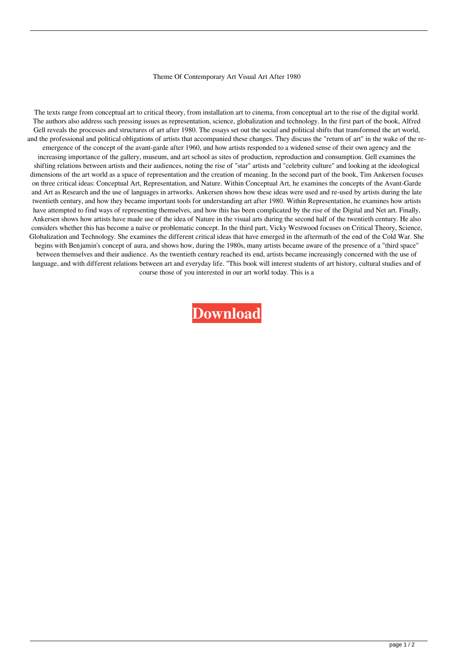## Theme Of Contemporary Art Visual Art After 1980

The texts range from conceptual art to critical theory, from installation art to cinema, from conceptual art to the rise of the digital world. The authors also address such pressing issues as representation, science, globalization and technology. In the first part of the book, Alfred Gell reveals the processes and structures of art after 1980. The essays set out the social and political shifts that transformed the art world, and the professional and political obligations of artists that accompanied these changes. They discuss the "return of art" in the wake of the reemergence of the concept of the avant-garde after 1960, and how artists responded to a widened sense of their own agency and the increasing importance of the gallery, museum, and art school as sites of production, reproduction and consumption. Gell examines the shifting relations between artists and their audiences, noting the rise of "star" artists and "celebrity culture" and looking at the ideological dimensions of the art world as a space of representation and the creation of meaning. In the second part of the book, Tim Ankersen focuses on three critical ideas: Conceptual Art, Representation, and Nature. Within Conceptual Art, he examines the concepts of the Avant-Garde and Art as Research and the use of languages in artworks. Ankersen shows how these ideas were used and re-used by artists during the late twentieth century, and how they became important tools for understanding art after 1980. Within Representation, he examines how artists have attempted to find ways of representing themselves, and how this has been complicated by the rise of the Digital and Net art. Finally, Ankersen shows how artists have made use of the idea of Nature in the visual arts during the second half of the twentieth century. He also considers whether this has become a naïve or problematic concept. In the third part, Vicky Westwood focuses on Critical Theory, Science, Globalization and Technology. She examines the different critical ideas that have emerged in the aftermath of the end of the Cold War. She begins with Benjamin's concept of aura, and shows how, during the 1980s, many artists became aware of the presence of a "third space" between themselves and their audience. As the twentieth century reached its end, artists became increasingly concerned with the use of language, and with different relations between art and everyday life. "This book will interest students of art history, cultural studies and of course those of you interested in our art world today. This is a

**[Download](http://evacdir.com/VGhlbWUgT2YgQ29udGVtcG9yYXJ5IEFydCBWaXN1YWwgQXJ0IEFmdGVyIDE5ODAVGh.josef=orgeat.pensive?ktts=ZG93bmxvYWR8RVM2TVhZM2NIeDhNVFkxTWpRMk16QTFNSHg4TWpVM05IeDhLRTBwSUhKbFlXUXRZbXh2WnlCYlJtRnpkQ0JIUlU1ZA)**